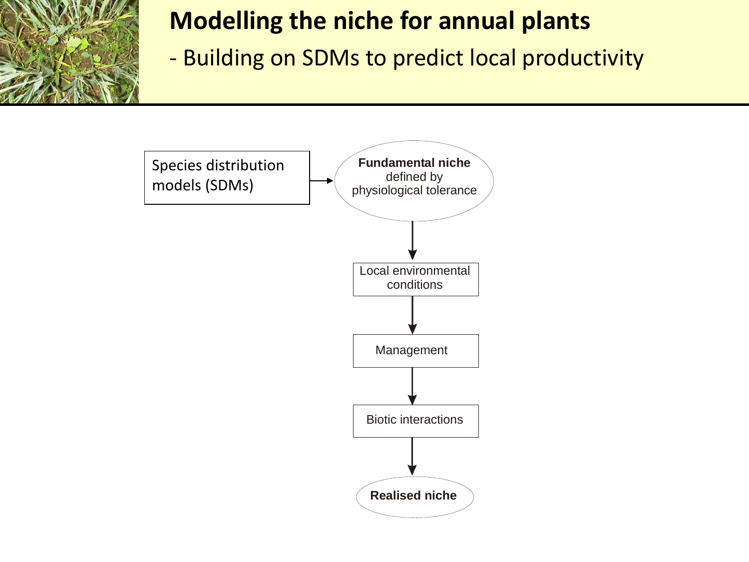

### **Modelling the niche for annual plants**

- Building on SDMs to predict local productivity

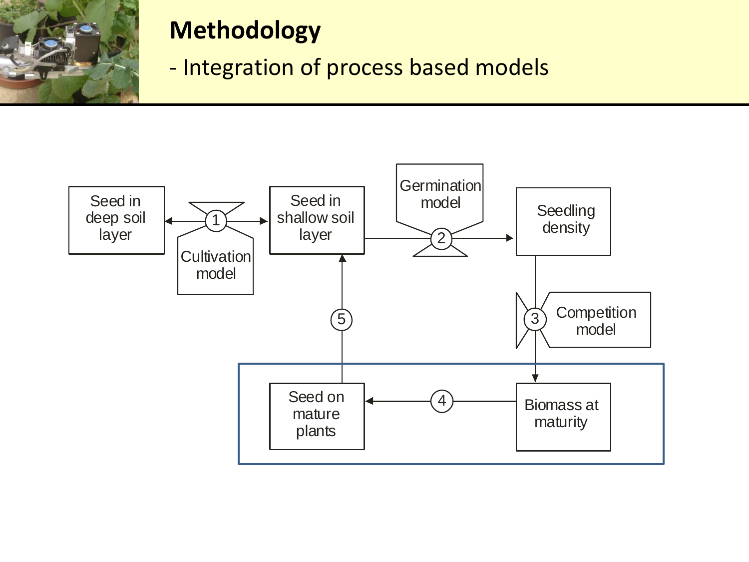

### **Methodology**

- Integration of process based models

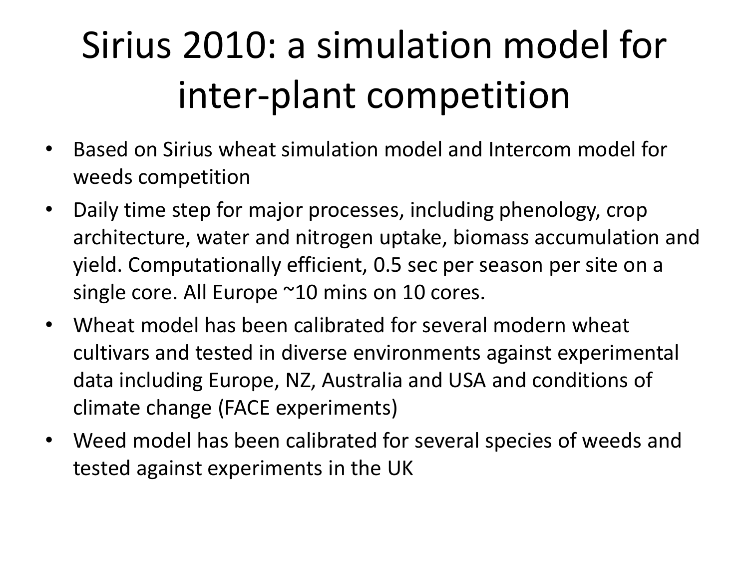# Sirius 2010: a simulation model for inter-plant competition

- Based on Sirius wheat simulation model and Intercom model for weeds competition
- Daily time step for major processes, including phenology, crop architecture, water and nitrogen uptake, biomass accumulation and yield. Computationally efficient, 0.5 sec per season per site on a single core. All Europe ~10 mins on 10 cores.
- Wheat model has been calibrated for several modern wheat cultivars and tested in diverse environments against experimental data including Europe, NZ, Australia and USA and conditions of climate change (FACE experiments)
- Weed model has been calibrated for several species of weeds and tested against experiments in the UK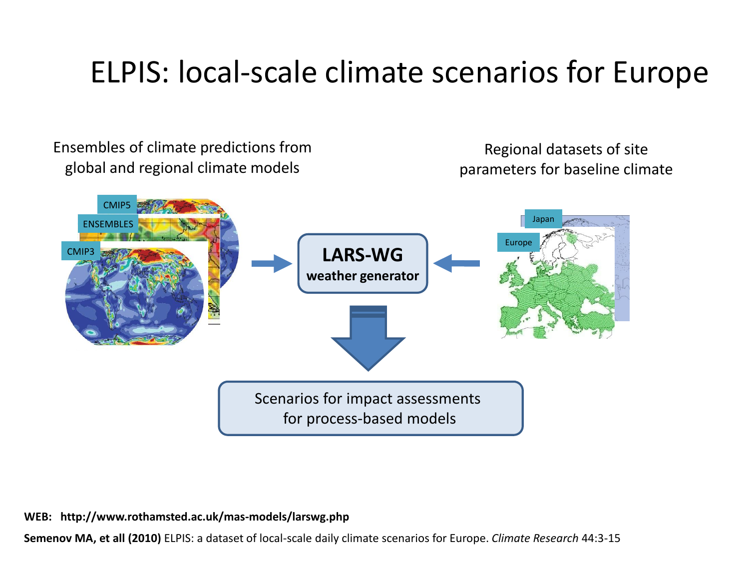### ELPIS: local-scale climate scenarios for Europe



**WEB: http://www.rothamsted.ac.uk/mas-models/larswg.php**

**Semenov MA, et all (2010)** ELPIS: a dataset of local-scale daily climate scenarios for Europe. *Climate Research* 44:3-15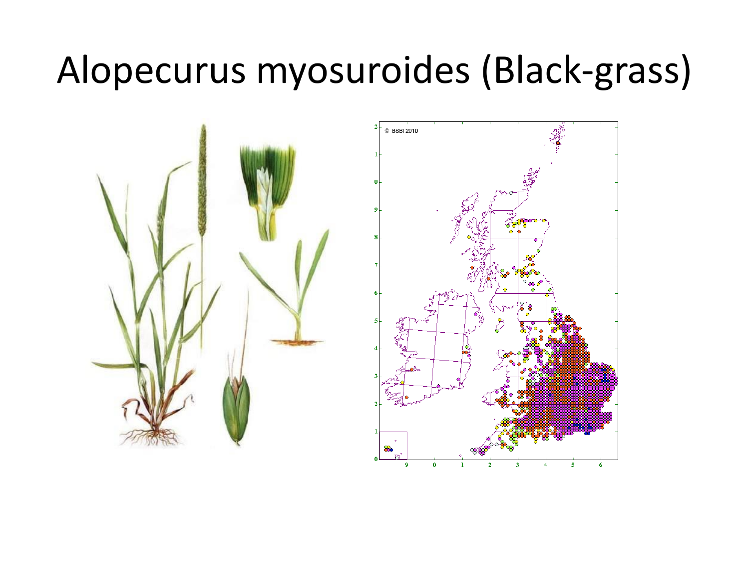# Alopecurus myosuroides (Black-grass)